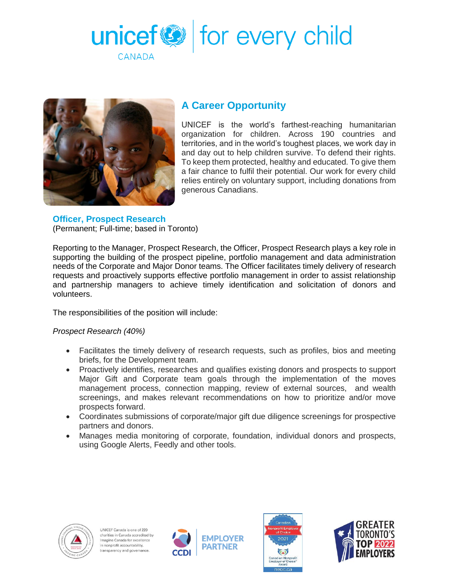



## **A Career Opportunity**

UNICEF is the world's farthest-reaching humanitarian organization for children. Across 190 countries and territories, and in the world's toughest places, we work day in and day out to help children survive. To defend their rights. To keep them protected, healthy and educated. To give them a fair chance to fulfil their potential. Our work for every child relies entirely on voluntary support, including donations from generous Canadians.

# **Officer, Prospect Research**

(Permanent; Full-time; based in Toronto)

Reporting to the Manager, Prospect Research, the Officer, Prospect Research plays a key role in supporting the building of the prospect pipeline, portfolio management and data administration needs of the Corporate and Major Donor teams. The Officer facilitates timely delivery of research requests and proactively supports effective portfolio management in order to assist relationship and partnership managers to achieve timely identification and solicitation of donors and volunteers.

The responsibilities of the position will include:

### *Prospect Research (40%)*

- Facilitates the timely delivery of research requests, such as profiles, bios and meeting briefs, for the Development team.
- Proactively identifies, researches and qualifies existing donors and prospects to support Major Gift and Corporate team goals through the implementation of the moves management process, connection mapping, review of external sources, and wealth screenings, and makes relevant recommendations on how to prioritize and/or move prospects forward.
- Coordinates submissions of corporate/major gift due diligence screenings for prospective partners and donors.
- Manages media monitoring of corporate, foundation, individual donors and prospects, using Google Alerts, Feedly and other tools.







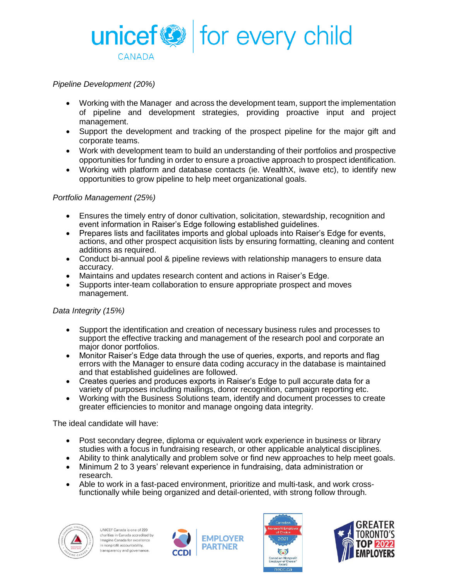

### *Pipeline Development (20%)*

- Working with the Manager and across the development team, support the implementation of pipeline and development strategies, providing proactive input and project management.
- Support the development and tracking of the prospect pipeline for the major gift and corporate teams.
- Work with development team to build an understanding of their portfolios and prospective opportunities for funding in order to ensure a proactive approach to prospect identification.
- Working with platform and database contacts (ie. WealthX, iwave etc), to identify new opportunities to grow pipeline to help meet organizational goals.

#### *Portfolio Management (25%)*

- Ensures the timely entry of donor cultivation, solicitation, stewardship, recognition and event information in Raiser's Edge following established guidelines.
- Prepares lists and facilitates imports and global uploads into Raiser's Edge for events, actions, and other prospect acquisition lists by ensuring formatting, cleaning and content additions as required.
- Conduct bi-annual pool & pipeline reviews with relationship managers to ensure data accuracy.
- Maintains and updates research content and actions in Raiser's Edge.
- Supports inter-team collaboration to ensure appropriate prospect and moves management.

### *Data Integrity (15%)*

- Support the identification and creation of necessary business rules and processes to support the effective tracking and management of the research pool and corporate an major donor portfolios.
- Monitor Raiser's Edge data through the use of queries, exports, and reports and flag errors with the Manager to ensure data coding accuracy in the database is maintained and that established guidelines are followed.
- Creates queries and produces exports in Raiser's Edge to pull accurate data for a variety of purposes including mailings, donor recognition, campaign reporting etc.
- Working with the Business Solutions team, identify and document processes to create greater efficiencies to monitor and manage ongoing data integrity.

The ideal candidate will have:

- Post secondary degree, diploma or equivalent work experience in business or library studies with a focus in fundraising research, or other applicable analytical disciplines.
- Ability to think analytically and problem solve or find new approaches to help meet goals.
- Minimum 2 to 3 years' relevant experience in fundraising, data administration or research.
- Able to work in a fast-paced environment, prioritize and multi-task, and work crossfunctionally while being organized and detail-oriented, with strong follow through.



UNICEF Canada is one of 220 charities in Canada accredited by Imagine Canada for excellence in nonprofit accountability. ransparency and governance